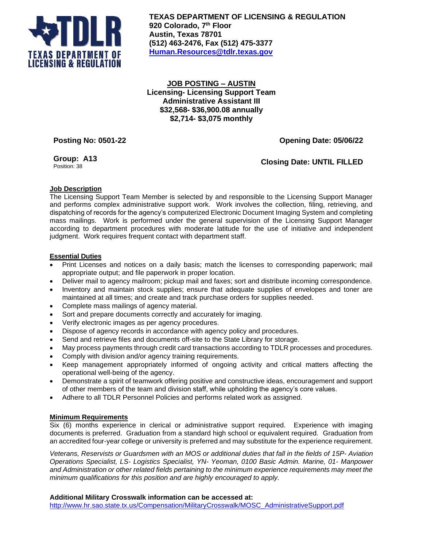

**TEXAS DEPARTMENT OF LICENSING & REGULATION 920 Colorado, 7 th Floor Austin, Texas 78701 (512) 463-2476, Fax (512) 475-3377 [Human.Resources@tdlr.texas.gov](mailto:Human.Resources@tdlr.texas.gov)**

**JOB POSTING – AUSTIN Licensing- Licensing Support Team Administrative Assistant III \$32,568- \$36,900.08 annually \$2,714- \$3,075 monthly**

**Posting No: 0501-22 Opening Date: 05/06/22**

**Group: A13**

**Closing Date: UNTIL FILLED** 

# **Job Description**

The Licensing Support Team Member is selected by and responsible to the Licensing Support Manager and performs complex administrative support work. Work involves the collection, filing, retrieving, and dispatching of records for the agency's computerized Electronic Document Imaging System and completing mass mailings. Work is performed under the general supervision of the Licensing Support Manager according to department procedures with moderate latitude for the use of initiative and independent judgment. Work requires frequent contact with department staff.

## **Essential Duties**

- Print Licenses and notices on a daily basis; match the licenses to corresponding paperwork; mail appropriate output; and file paperwork in proper location.
- Deliver mail to agency mailroom; pickup mail and faxes; sort and distribute incoming correspondence.
- Inventory and maintain stock supplies; ensure that adequate supplies of envelopes and toner are maintained at all times; and create and track purchase orders for supplies needed.
- Complete mass mailings of agency material.
- Sort and prepare documents correctly and accurately for imaging.
- Verify electronic images as per agency procedures.
- Dispose of agency records in accordance with agency policy and procedures.
- Send and retrieve files and documents off-site to the State Library for storage.
- May process payments through credit card transactions according to TDLR processes and procedures.
- Comply with division and/or agency training requirements.
- Keep management appropriately informed of ongoing activity and critical matters affecting the operational well-being of the agency.
- Demonstrate a spirit of teamwork offering positive and constructive ideas, encouragement and support of other members of the team and division staff, while upholding the agency's core values.
- Adhere to all TDLR Personnel Policies and performs related work as assigned.

### **Minimum Requirements**

Six (6) months experience in clerical or administrative support required. Experience with imaging documents is preferred. Graduation from a standard high school or equivalent required. Graduation from an accredited four-year college or university is preferred and may substitute for the experience requirement.

*Veterans, Reservists or Guardsmen with an MOS or additional duties that fall in the fields of 15P- Aviation Operations Specialist, LS- Logistics Specialist, YN- Yeoman, 0100 Basic Admin. Marine, 01- Manpower and Administration or other related fields pertaining to the minimum experience requirements may meet the minimum qualifications for this position and are highly encouraged to apply.*

### **Additional Military Crosswalk information can be accessed at:**

[http://www.hr.sao.state.tx.us/Compensation/MilitaryCrosswalk/MOSC\\_AdministrativeSupport.pdf](http://www.hr.sao.state.tx.us/Compensation/MilitaryCrosswalk/MOSC_AdministrativeSupport.pdf)